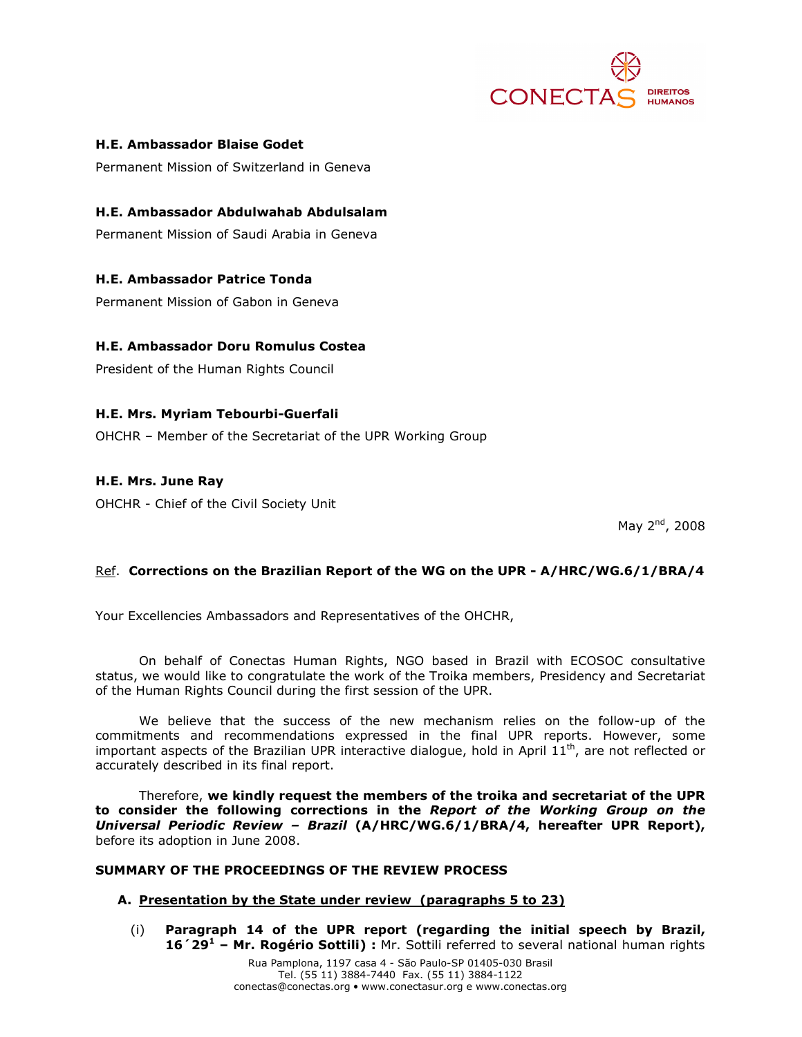

### H.E. Ambassador Blaise Godet

Permanent Mission of Switzerland in Geneva

### H.E. Ambassador Abdulwahab Abdulsalam

Permanent Mission of Saudi Arabia in Geneva

H.E. Ambassador Patrice Tonda

Permanent Mission of Gabon in Geneva

# H.E. Ambassador Doru Romulus Costea

President of the Human Rights Council

### H.E. Mrs. Myriam Tebourbi-Guerfali

OHCHR – Member of the Secretariat of the UPR Working Group

## H.E. Mrs. June Ray

OHCHR - Chief of the Civil Society Unit

May 2<sup>nd</sup>, 2008

## Ref. Corrections on the Brazilian Report of the WG on the UPR - A/HRC/WG.6/1/BRA/4

Your Excellencies Ambassadors and Representatives of the OHCHR,

On behalf of Conectas Human Rights, NGO based in Brazil with ECOSOC consultative status, we would like to congratulate the work of the Troika members, Presidency and Secretariat of the Human Rights Council during the first session of the UPR.

We believe that the success of the new mechanism relies on the follow-up of the commitments and recommendations expressed in the final UPR reports. However, some important aspects of the Brazilian UPR interactive dialogue, hold in April  $11<sup>th</sup>$ , are not reflected or accurately described in its final report.

Therefore, we kindly request the members of the troika and secretariat of the UPR to consider the following corrections in the Report of the Working Group on the Universal Periodic Review – Brazil (A/HRC/WG.6/1/BRA/4, hereafter UPR Report), before its adoption in June 2008.

### SUMMARY OF THE PROCEEDINGS OF THE REVIEW PROCESS

### A. Presentation by the State under review (paragraphs 5 to 23)

(i) Paragraph 14 of the UPR report (regarding the initial speech by Brazil, 16<sup>'</sup> 29<sup>1</sup> - Mr. Rogério Sottili) : Mr. Sottili referred to several national human rights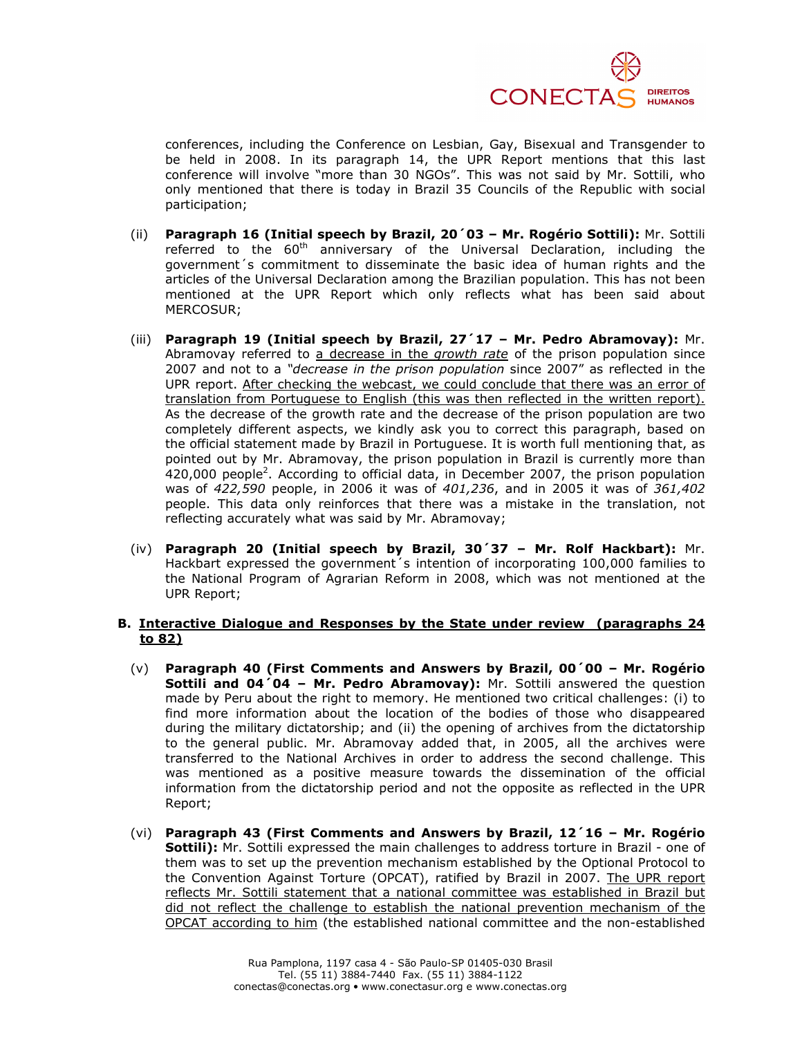

conferences, including the Conference on Lesbian, Gay, Bisexual and Transgender to be held in 2008. In its paragraph 14, the UPR Report mentions that this last conference will involve "more than 30 NGOs". This was not said by Mr. Sottili, who only mentioned that there is today in Brazil 35 Councils of the Republic with social participation;

- (ii) Paragraph 16 (Initial speech by Brazil, 20´03 Mr. Rogério Sottili): Mr. Sottili referred to the  $60<sup>th</sup>$  anniversary of the Universal Declaration, including the government´s commitment to disseminate the basic idea of human rights and the articles of the Universal Declaration among the Brazilian population. This has not been mentioned at the UPR Report which only reflects what has been said about MERCOSUR;
- (iii) Paragraph 19 (Initial speech by Brazil, 27´17 Mr. Pedro Abramovay): Mr. Abramovay referred to a decrease in the *growth rate* of the prison population since 2007 and not to a "*decrease in the prison population* since 2007" as reflected in the UPR report. After checking the webcast, we could conclude that there was an error of translation from Portuguese to English (this was then reflected in the written report). As the decrease of the growth rate and the decrease of the prison population are two completely different aspects, we kindly ask you to correct this paragraph, based on the official statement made by Brazil in Portuguese. It is worth full mentioning that, as pointed out by Mr. Abramovay, the prison population in Brazil is currently more than 420,000 people<sup>2</sup>. According to official data, in December 2007, the prison population was of 422,590 people, in 2006 it was of 401,236, and in 2005 it was of 361,402 people. This data only reinforces that there was a mistake in the translation, not reflecting accurately what was said by Mr. Abramovay;
- (iv) Paragraph 20 (Initial speech by Brazil, 30´37 Mr. Rolf Hackbart): Mr. Hackbart expressed the government´s intention of incorporating 100,000 families to the National Program of Agrarian Reform in 2008, which was not mentioned at the UPR Report;

### B. Interactive Dialogue and Responses by the State under review (paragraphs 24 to 82)

- (v) Paragraph 40 (First Comments and Answers by Brazil, 00´00 Mr. Rogério Sottili and 04'04 - Mr. Pedro Abramovay): Mr. Sottili answered the question made by Peru about the right to memory. He mentioned two critical challenges: (i) to find more information about the location of the bodies of those who disappeared during the military dictatorship; and (ii) the opening of archives from the dictatorship to the general public. Mr. Abramovay added that, in 2005, all the archives were transferred to the National Archives in order to address the second challenge. This was mentioned as a positive measure towards the dissemination of the official information from the dictatorship period and not the opposite as reflected in the UPR Report;
- (vi) Paragraph 43 (First Comments and Answers by Brazil, 12´16 Mr. Rogério Sottili): Mr. Sottili expressed the main challenges to address torture in Brazil - one of them was to set up the prevention mechanism established by the Optional Protocol to the Convention Against Torture (OPCAT), ratified by Brazil in 2007. The UPR report reflects Mr. Sottili statement that a national committee was established in Brazil but did not reflect the challenge to establish the national prevention mechanism of the OPCAT according to him (the established national committee and the non-established